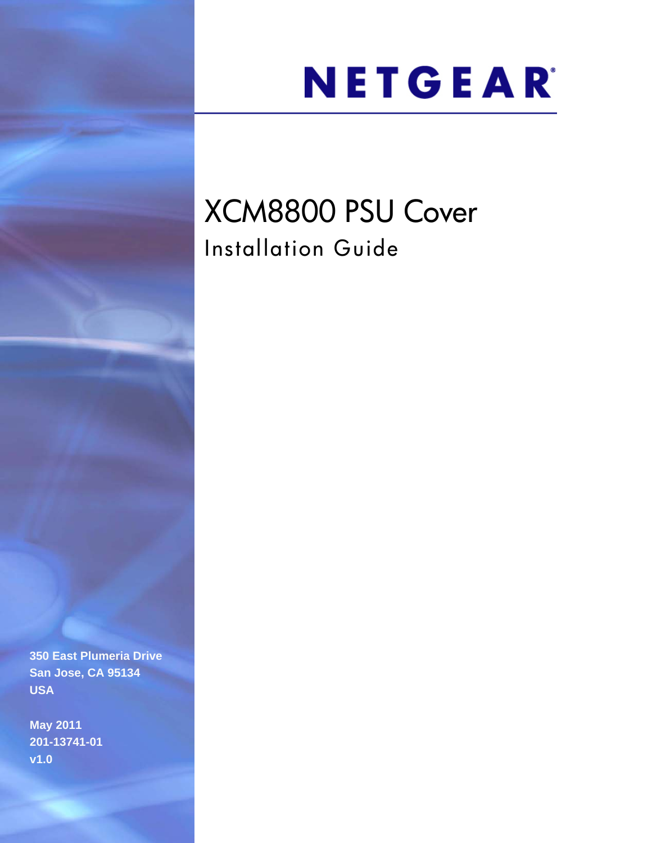# NETGEAR®

# XCM8800 PSU Cover Installation Guide

**350 East Plumeria Drive San Jose, CA 95134 USA**

**May 2011 201-13741-01 v1.0**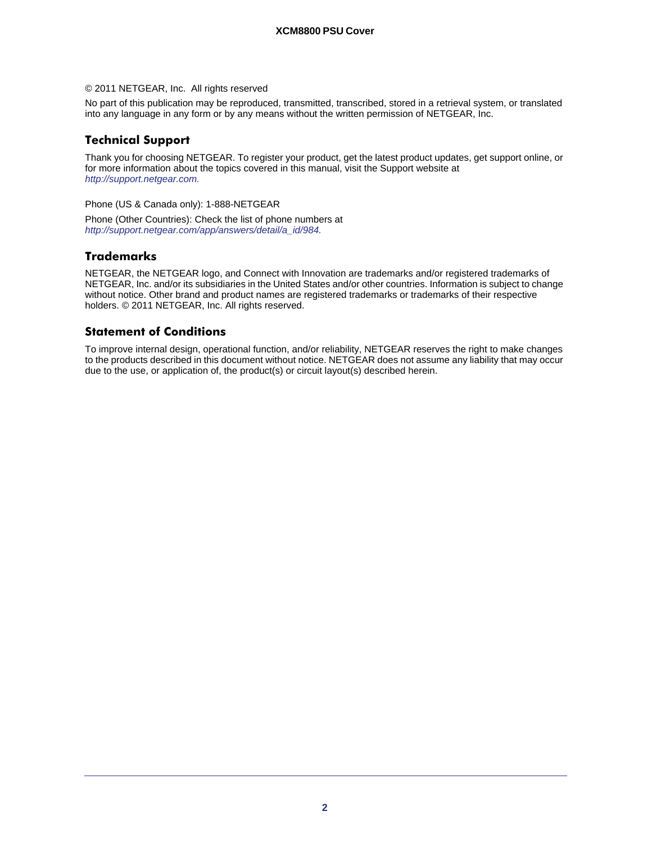#### © 2011 NETGEAR, Inc. All rights reserved

No part of this publication may be reproduced, transmitted, transcribed, stored in a retrieval system, or translated into any language in any form or by any means without the written permission of NETGEAR, Inc.

#### **Technical Support**

Thank you for choosing NETGEAR. To register your product, get the latest product updates, get support online, or for more information about the topics covered in this manual, visit the Support website at *http://support.netgear.com.*

Phone (US & Canada only): 1-888-NETGEAR

Phone (Other Countries): Check the list of phone numbers at *http://support.netgear.com/app/answers/detail/a\_id/984.*

#### **Trademarks**

NETGEAR, the NETGEAR logo, and Connect with Innovation are trademarks and/or registered trademarks of NETGEAR, Inc. and/or its subsidiaries in the United States and/or other countries. Information is subject to change without notice. Other brand and product names are registered trademarks or trademarks of their respective holders. © 2011 NETGEAR, Inc. All rights reserved.

#### **Statement of Conditions**

To improve internal design, operational function, and/or reliability, NETGEAR reserves the right to make changes to the products described in this document without notice. NETGEAR does not assume any liability that may occur due to the use, or application of, the product(s) or circuit layout(s) described herein.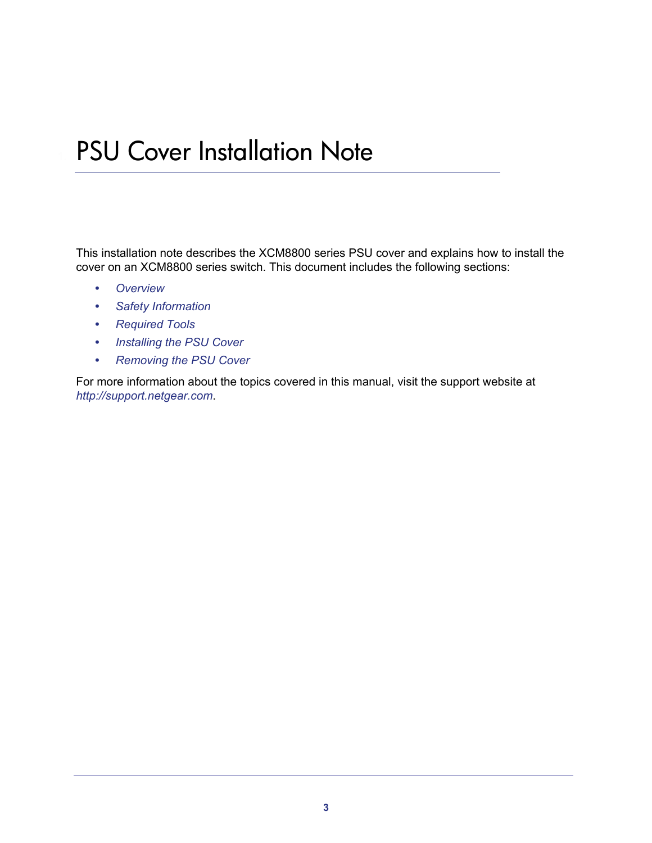## **PSU Cover Installation Note**

This installation note describes the XCM8800 series PSU cover and explains how to install the cover on an XCM8800 series switch. This document includes the following sections:

- *[Overview](#page-3-0)*
- *[Safety Information](#page-3-1)*
- *[Required Tools](#page-4-0)*
- *[Installing the PSU Cover](#page-4-1)*
- *[Removing the PSU Cover](#page-5-0)*

For more information about the topics covered in this manual, visit the support website at *<http://support.netgear.com>*.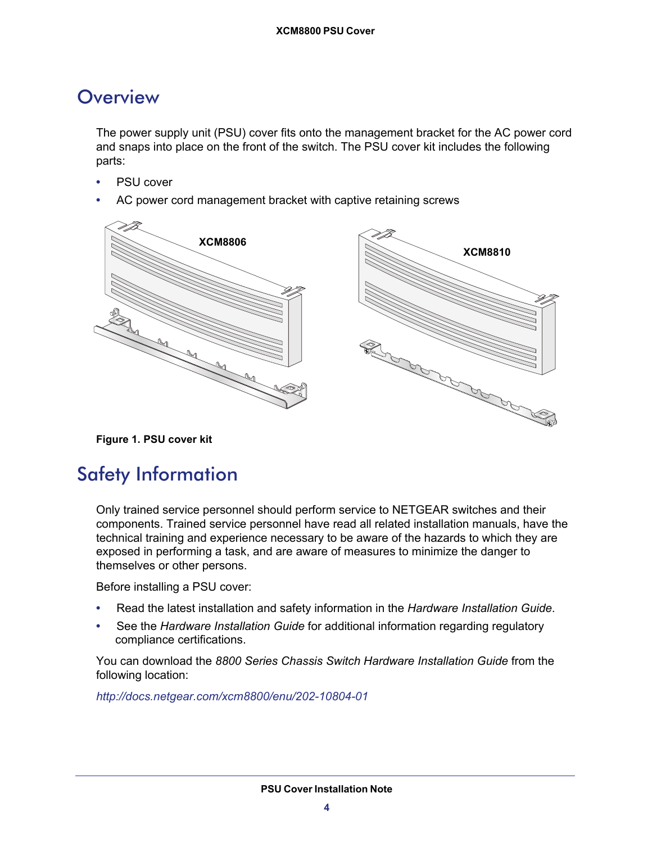### <span id="page-3-0"></span>**Overview**

The power supply unit (PSU) cover fits onto the management bracket for the AC power cord and snaps into place on the front of the switch. The PSU cover kit includes the following parts:

- PSU cover
- AC power cord management bracket with captive retaining screws



**Figure 1. PSU cover kit**

## <span id="page-3-1"></span>Safety Information

Only trained service personnel should perform service to NETGEAR switches and their components. Trained service personnel have read all related installation manuals, have the technical training and experience necessary to be aware of the hazards to which they are exposed in performing a task, and are aware of measures to minimize the danger to themselves or other persons.

Before installing a PSU cover:

- Read the latest installation and safety information in the *Hardware Installation Guide*.
- See the *Hardware Installation Guide* for additional information regarding regulatory compliance certifications.

You can download the *8800 Series Chassis Switch Hardware Installation Guide* from the following location:

*<http://docs.netgear.com/xcm8800/enu/202-10804-01>*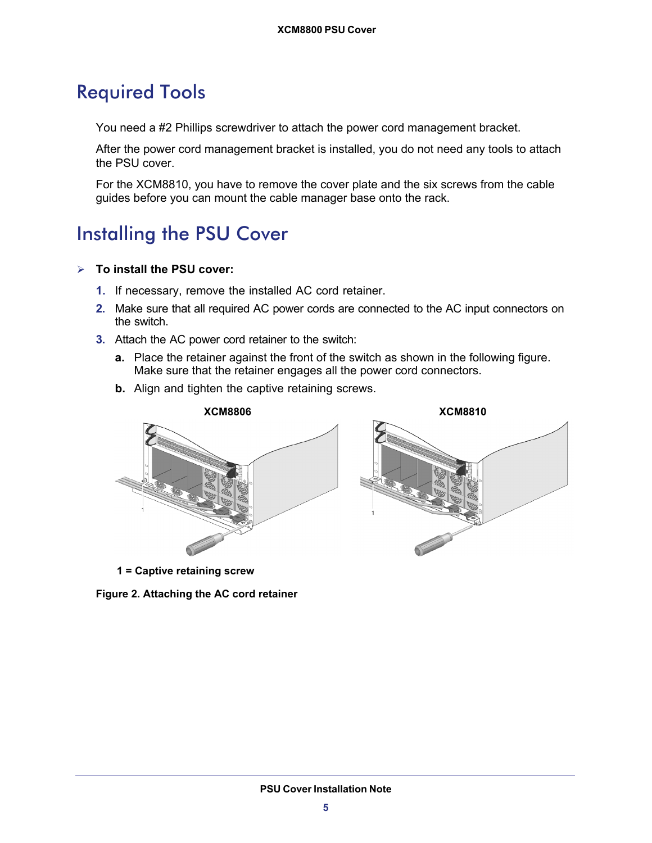## <span id="page-4-0"></span>Required Tools

You need a #2 Phillips screwdriver to attach the power cord management bracket.

After the power cord management bracket is installed, you do not need any tools to attach the PSU cover.

For the XCM8810, you have to remove the cover plate and the six screws from the cable guides before you can mount the cable manager base onto the rack.

## <span id="page-4-1"></span>Installing the PSU Cover

#### **To install the PSU cover:**

- **1.** If necessary, remove the installed AC cord retainer.
- **2.** Make sure that all required AC power cords are connected to the AC input connectors on the switch.
- **3.** Attach the AC power cord retainer to the switch:
	- **a.** Place the retainer against the front of the switch as shown in the following figure. Make sure that the retainer engages all the power cord connectors.
	- **b.** Align and tighten the captive retaining screws.



**1 = Captive retaining screw**

**Figure 2. Attaching the AC cord retainer**